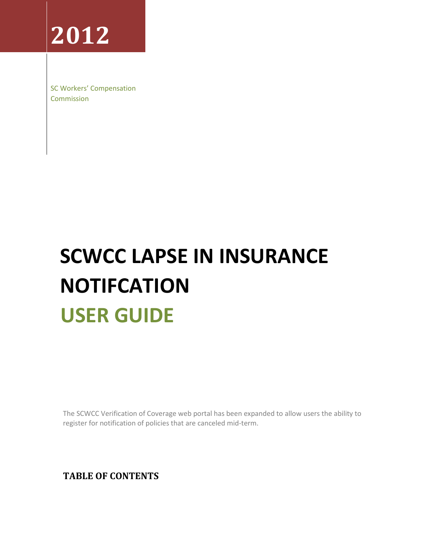**2012** 

SC Workers' Compensation Commission

# **SCWCC LAPSE IN INSURANCE NOTIFCATION USER GUIDE**

The SCWCC Verification of Coverage web portal has been expanded to allow users the ability to register for notification of policies that are canceled mid-term.

**TABLE OF CONTENTS**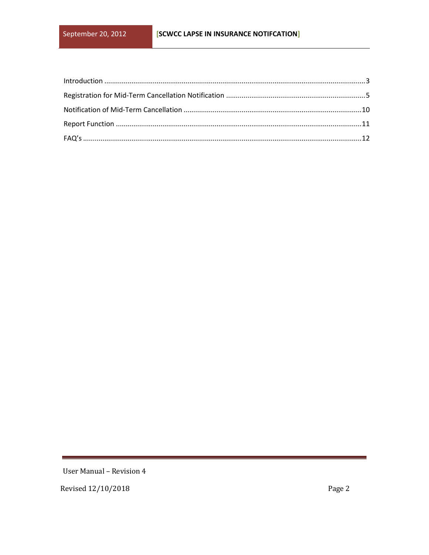**User Manual - Revision 4** 

Revised 12/10/2018

Page 2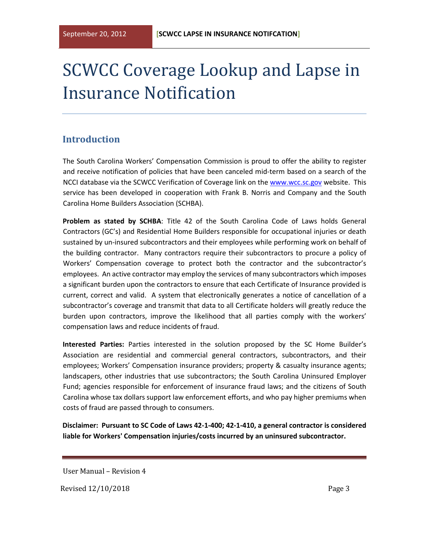## SCWCC Coverage Lookup and Lapse in Insurance Notification

#### <span id="page-2-0"></span>**Introduction**

The South Carolina Workers' Compensation Commission is proud to offer the ability to register and receive notification of policies that have been canceled mid-term based on a search of the NCCI database via the SCWCC Verification of Coverage link on the [www.wcc.sc.gov](http://www.wcc.sc.gov/) website. This service has been developed in cooperation with Frank B. Norris and Company and the South Carolina Home Builders Association (SCHBA).

**Problem as stated by SCHBA**: Title 42 of the South Carolina Code of Laws holds General Contractors (GC's) and Residential Home Builders responsible for occupational injuries or death sustained by un-insured subcontractors and their employees while performing work on behalf of the building contractor. Many contractors require their subcontractors to procure a policy of Workers' Compensation coverage to protect both the contractor and the subcontractor's employees. An active contractor may employ the services of many subcontractors which imposes a significant burden upon the contractors to ensure that each Certificate of Insurance provided is current, correct and valid. A system that electronically generates a notice of cancellation of a subcontractor's coverage and transmit that data to all Certificate holders will greatly reduce the burden upon contractors, improve the likelihood that all parties comply with the workers' compensation laws and reduce incidents of fraud.

**Interested Parties:** Parties interested in the solution proposed by the SC Home Builder's Association are residential and commercial general contractors, subcontractors, and their employees; Workers' Compensation insurance providers; property & casualty insurance agents; landscapers, other industries that use subcontractors; the South Carolina Uninsured Employer Fund; agencies responsible for enforcement of insurance fraud laws; and the citizens of South Carolina whose tax dollars support law enforcement efforts, and who pay higher premiums when costs of fraud are passed through to consumers.

**Disclaimer: Pursuant to SC Code of Laws 42-1-400; 42-1-410, a general contractor is considered liable for Workers' Compensation injuries/costs incurred by an uninsured subcontractor.** 

User Manual – Revision 4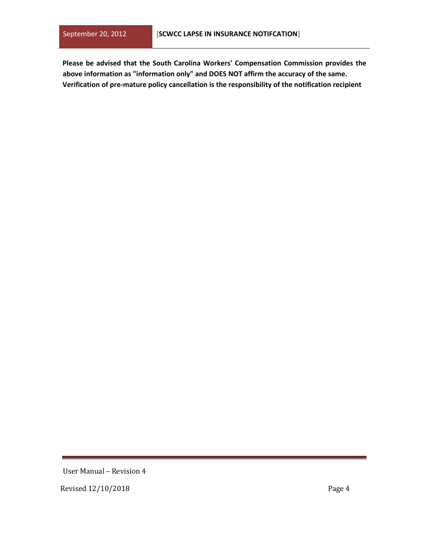**Please be advised that the South Carolina Workers' Compensation Commission provides the above information as "information only" and DOES NOT affirm the accuracy of the same. Verification of pre-mature policy cancellation is the responsibility of the notification recipient** 

User Manual – Revision 4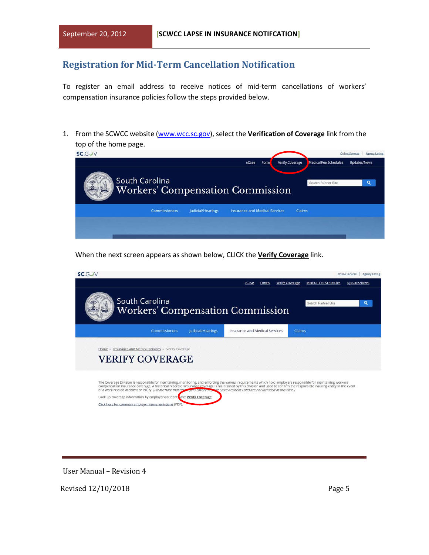#### <span id="page-4-0"></span>**Registration for Mid-Term Cancellation Notification**

To register an email address to receive notices of mid-term cancellations of workers' compensation insurance policies follow the steps provided below.

1. From the SCWCC website [\(www.wcc.sc.gov\),](http://www.wcc.sc.gov/) select the **Verification of Coverage** link from the top of the home page.



When the next screen appears as shown below, CLICK the **Verify Coverage** link.



User Manual – Revision 4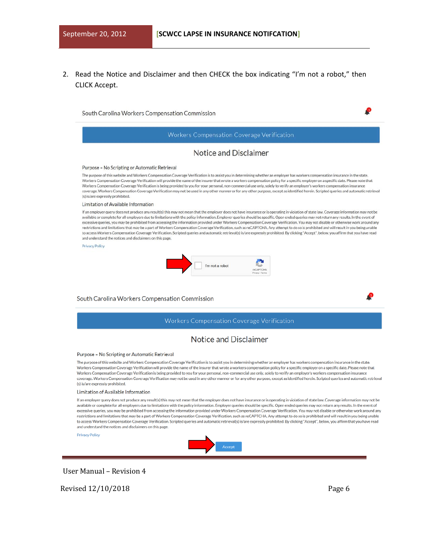2. Read the Notice and Disclaimer and then CHECK the box indicating "I'm not a robot," then CLICK Accept.

South Carolina Workers Compensation Commission



restrictions and limitations that may be a part of Workers Compensation Coverage Verification, such as reCAPTCHA. Any attempt to do so is prohibited and will result in you being unable to access Workers Compensation Coverage Verification. Scripted queries and automatic retrieval(s) is/are expressly prohibited. By clicking "Accept", below, you affirm that you have read and understand the notices and disclaimers on this page.

**Privacy Policy** 



#### User Manual – Revision 4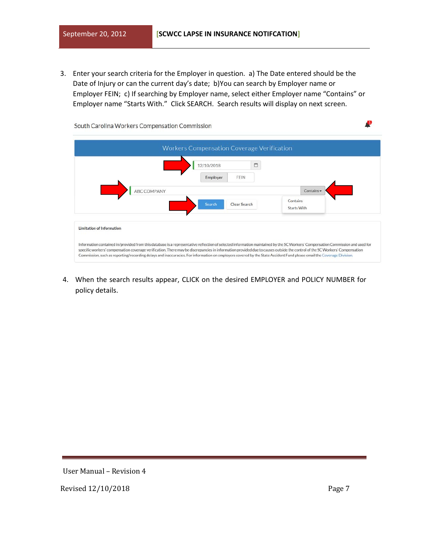3. Enter your search criteria for the Employer in question. a) The Date entered should be the Date of Injury or can the current day's date; b)You can search by Employer name or Employer FEIN; c) If searching by Employer name, select either Employer name "Contains" or Employer name "Starts With." Click SEARCH. Search results will display on next screen.

|             | <b>Workers Compensation Coverage Verification</b> |                                |
|-------------|---------------------------------------------------|--------------------------------|
|             | ₾<br>12/10/2018                                   |                                |
|             | FEIN<br>Employer                                  |                                |
| ABC COMPANY |                                                   | Contains -                     |
|             | Search<br>Clear Search                            | Contains<br><b>Starts With</b> |
|             |                                                   |                                |
|             |                                                   |                                |

4. When the search results appear, CLICK on the desired EMPLOYER and POLICY NUMBER for policy details.

User Manual – Revision 4

Revised 12/10/2018 **Page 7** 

Ф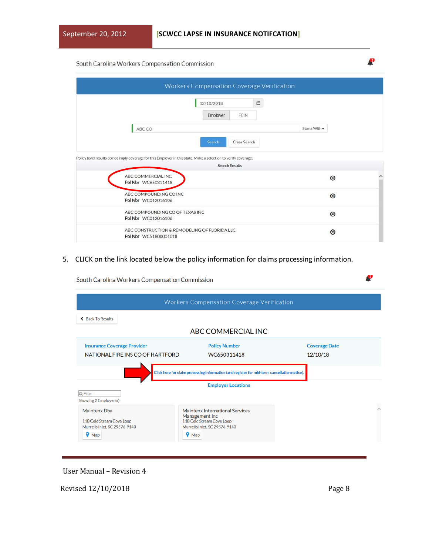#### South Carolina Workers Compensation Commission

| <b>Workers Compensation Coverage Verification</b>                                                                |               |
|------------------------------------------------------------------------------------------------------------------|---------------|
| ₾<br>12/10/2018<br>FEIN<br>Employer                                                                              |               |
| ABC CO                                                                                                           | Starts With - |
| Search<br>Clear Search                                                                                           |               |
| Policy level results do not imply coverage for this Employer in this state. Make a selection to verify coverage. |               |
| <b>Search Results</b>                                                                                            |               |
| ABC COMMERCIAL INC<br>Pol Nbr WC650311418                                                                        | Α<br>$\odot$  |
| ABC COMPOUNDING CO INC<br>Pol Nbr WC012016106                                                                    | $\odot$       |
| ABC COMPOUNDING CO OF TEXAS INC.<br>Pol Nbr WC012016106                                                          | $\odot$       |
| ABC CONSTRUCTION & REMODELING OF FLORIDA LLC<br>Pol Nbr WC51800001018                                            | Θ             |

5. CLICK on the link located below the policy information for claims processing information.

| South Carolina Workers Compensation Commission                                                                       |                                                                                                                                    |                                  |
|----------------------------------------------------------------------------------------------------------------------|------------------------------------------------------------------------------------------------------------------------------------|----------------------------------|
|                                                                                                                      | Workers Compensation Coverage Verification                                                                                         |                                  |
| ← Back To Results                                                                                                    |                                                                                                                                    |                                  |
|                                                                                                                      | ABC COMMERCIAL INC                                                                                                                 |                                  |
| <b>Insurance Coverage Provider</b><br>NATIONAL FIRE INS CO OF HARTFORD                                               | <b>Policy Number</b><br>WC650311418                                                                                                | <b>Coverage Date</b><br>12/10/18 |
| Q Filter                                                                                                             | Click here for claim processing information (and register for mid-term cancellation notice).<br><b>Employer Locations</b>          |                                  |
| Showing 2 Employer(s)<br>Maintenx Dba<br>118 Cold Stream Cove Loop<br>Murrells Inlet. SC 29576-9143<br>$\bullet$ Map | <b>Maintenx International Services</b><br>Management Inc<br>118 Cold Stream Cove Loop<br>Murrells Inlet. SC 29576-9143<br>9<br>Map | $\hat{\mathcal{E}}_{\lambda}$    |

User Manual – Revision 4

Revised 12/10/2018 Page 8

₽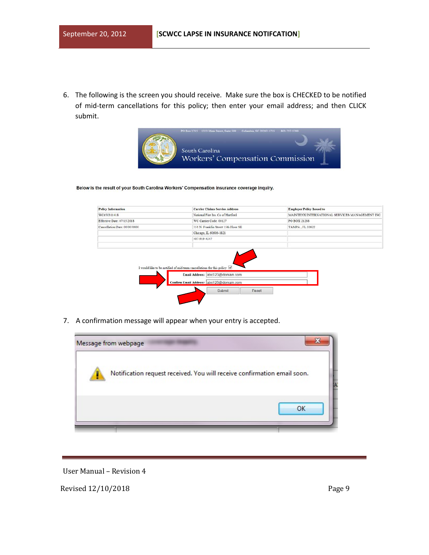6. The following is the screen you should receive. Make sure the box is CHECKED to be notified of mid-term cancellations for this policy; then enter your email address; and then CLICK submit.



Below is the result of your South Carolina Workers' Compensation insurance coverage inquiry.

| <b>Policy Information</b>                                               |                                          | <b>Carrier Claims Service Address</b> |       | <b>Employer Policy Issued to</b>               |
|-------------------------------------------------------------------------|------------------------------------------|---------------------------------------|-------|------------------------------------------------|
| WC650311418                                                             |                                          | National Fire Ins. Co of Hartford     |       | MAINTENX INTERNATIONAL SERVICES MANAGEMENT INC |
| Effective Date: 07/15/2018                                              |                                          | WC Carrier Code: 00127                |       | PO BOX 21288                                   |
| Cancellation Date: 00/00/0000                                           |                                          | 151 N. Franklin Street 15th Floor SE  |       | TAMPA, FL 33622                                |
|                                                                         |                                          | Chicago, IL 60606-1821                |       |                                                |
|                                                                         | 407-919-4547                             |                                       |       |                                                |
|                                                                         |                                          |                                       |       |                                                |
| I would like to be notified of mid-term cancellations for this policy V |                                          | Email Address: abc123@domain.com      |       |                                                |
|                                                                         | Confirm Email Address: abc123@domain.com |                                       |       |                                                |
|                                                                         |                                          |                                       |       |                                                |
|                                                                         |                                          | Submit                                | Reset |                                                |

7. A confirmation message will appear when your entry is accepted.



User Manual – Revision 4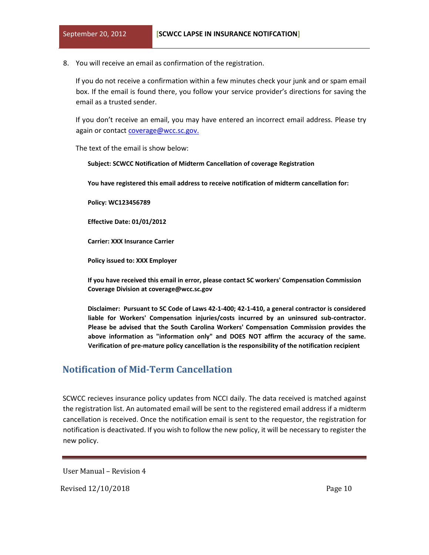8. You will receive an email as confirmation of the registration.

If you do not receive a confirmation within a few minutes check your junk and or spam email box. If the email is found there, you follow your service provider's directions for saving the email as a trusted sender.

If you don't receive an email, you may have entered an incorrect email address. Please try again or contact coverage@wcc.sc.gov.

The text of the email is show below:

**Subject: SCWCC Notification of Midterm Cancellation of coverage Registration** 

**You have registered this email address to receive notification of midterm cancellation for:** 

**Policy: WC123456789** 

**Effective Date: 01/01/2012** 

**Carrier: XXX Insurance Carrier** 

**Policy issued to: XXX Employer** 

**If you have received this email in error, please contact SC workers' Compensation Commission Coverage Division at coverage@wcc.sc.gov** 

**Disclaimer: Pursuant to SC Code of Laws 42-1-400; 42-1-410, a general contractor is considered liable for Workers' Compensation injuries/costs incurred by an uninsured sub-contractor. Please be advised that the South Carolina Workers' Compensation Commission provides the above information as "information only" and DOES NOT affirm the accuracy of the same. Verification of pre-mature policy cancellation is the responsibility of the notification recipient** 

#### <span id="page-9-0"></span>**Notification of Mid-Term Cancellation**

SCWCC recieves insurance policy updates from NCCI daily. The data received is matched against the registration list. An automated email will be sent to the registered email address if a midterm cancellation is received. Once the notification email is sent to the requestor, the registration for notification is deactivated. If you wish to follow the new policy, it will be necessary to register the new policy.

User Manual – Revision 4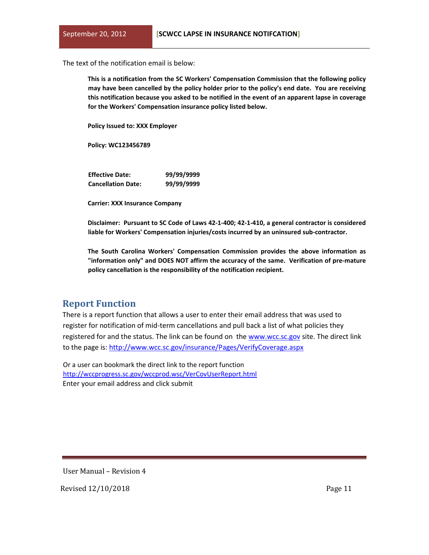The text of the notification email is below:

**This is a notification from the SC Workers' Compensation Commission that the following policy may have been cancelled by the policy holder prior to the policy's end date. You are receiving this notification because you asked to be notified in the event of an apparent lapse in coverage for the Workers' Compensation insurance policy listed below.** 

**Policy Issued to: XXX Employer** 

**Policy: WC123456789** 

| <b>Effective Date:</b>    | 99/99/9999 |
|---------------------------|------------|
| <b>Cancellation Date:</b> | 99/99/9999 |

**Carrier: XXX Insurance Company** 

**Disclaimer: Pursuant to SC Code of Laws 42-1-400; 42-1-410, a general contractor is considered liable for Workers' Compensation injuries/costs incurred by an uninsured sub-contractor.** 

**The South Carolina Workers' Compensation Commission provides the above information as "information only" and DOES NOT affirm the accuracy of the same. Verification of pre-mature policy cancellation is the responsibility of the notification recipient.**

#### <span id="page-10-0"></span>**Report Function**

There is a report function that allows a user to enter their email address that was used to register for notification of mid-term cancellations and pull back a list of what policies they registered for and the status. The link can be found on th[e www.wcc.sc.gov](http://www.wcc.sc.gov/) site. The direct link to the page is[: http://www.wcc.sc.gov/insurance/Pages/VerifyCoverage.aspx](http://www.wcc.sc.gov/insurance/Pages/VerifyCoverage.aspx)

Or a user can bookmark the direct link to the report function <http://wccprogress.sc.gov/wccprod.wsc/VerCovUserReport.html> Enter your email address and click submit

User Manual – Revision 4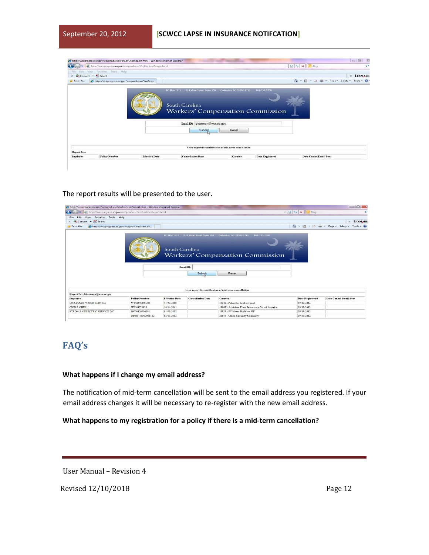|                                 | http://wccprogress.sc.gov/wccprod.wsc/VerCovUserReport.html |                                                                |       |              | $ \mathbb{R}$ $+$ $\mathbb{R}$ $\times$ $\mathbb{C}$ Bing | ₽                |
|---------------------------------|-------------------------------------------------------------|----------------------------------------------------------------|-------|--------------|-----------------------------------------------------------|------------------|
| File                            | Edit View Favorites Tools Help                              |                                                                |       |              |                                                           |                  |
| Convert - Bi Select<br>$\times$ |                                                             |                                                                |       |              |                                                           | $\times$ LEXMARK |
| <b>Favorites</b>                | http://wccprogress.sc.gov/wccprod.wsc/VerCov                |                                                                |       |              | ☆ - 同 - □ 曲 - Page - Safety - Tools - @                   |                  |
|                                 |                                                             | PO Hox 1715 1333 Mam Street, Suite 500 Columbia, SC 20202-1715 |       | 801-717-5700 |                                                           |                  |
|                                 |                                                             | South Carolina<br>Workers' Compensation Commission             |       |              |                                                           |                  |
|                                 |                                                             | Email ID: bhartman@wcc.sc.gov<br>Submit                        | Reset |              |                                                           |                  |
|                                 |                                                             |                                                                |       |              |                                                           |                  |
| Report For:                     |                                                             | User report for notification of mid-term cancellation          |       |              |                                                           |                  |

The report results will be presented to the user.

|                                                               | http://wccprogress.sc.gov/wccprod.wsc/VerCovUserReport.html - Windows Internet Explorer |                       |                                         |                                                       |                                       | $-16$                                   |
|---------------------------------------------------------------|-----------------------------------------------------------------------------------------|-----------------------|-----------------------------------------|-------------------------------------------------------|---------------------------------------|-----------------------------------------|
| e http://wccprogress.sc.gov/wccprod.wsc/VerCovUserReport.html |                                                                                         |                       |                                         |                                                       | $\bullet$ 8 $\bullet$ $\times$ 6 Bing |                                         |
| Favorites Tools Help<br>View<br><b>Edit</b><br>File           |                                                                                         |                       |                                         |                                                       |                                       |                                         |
| Convert - <b>DE</b> Select<br>$\times$                        |                                                                                         |                       |                                         |                                                       |                                       | <b>LEXMARK</b><br>$\times$              |
| Favorites<br>http://wccprogress.sc.gov/wccprod.wsc/VerCov     |                                                                                         |                       |                                         |                                                       |                                       | ☆ ▼ 图 ▼ □ ● ▼ Page ▼ Safety ▼ Tools ▼ ● |
|                                                               |                                                                                         | South Carolina        | PO Box 1715 1333 Main Street, Suite 500 | Columbia, SC 20202-1715<br>803-737-5700               |                                       |                                         |
|                                                               |                                                                                         |                       | Email ID:<br>Subpoit                    | Workers' Compensation Commission<br>Reset             |                                       |                                         |
|                                                               |                                                                                         |                       |                                         | User report for notification of mid-term cancellation |                                       |                                         |
| Report For: bhartman@wcc.sc.gov                               |                                                                                         |                       |                                         |                                                       |                                       |                                         |
| Employer                                                      | <b>Policy Number</b>                                                                    | <b>Effective Date</b> | <b>Cancellation Date</b>                | Carrier                                               | <b>Date Registered</b>                | <b>Date Cancel Email Sent</b>           |
| MCMANUS WOOD SERVICE                                          | WCSI000827235                                                                           | 11/29/2010            |                                         | 43686 - Palmetto Timber Fund                          | 09/18/2012                            |                                         |
| CHINA CHILL                                                   | WCV6078128                                                                              | 10/14/2011            |                                         | 19968 - Accident Fund Insurance Co. of America        | 09/19/2012                            |                                         |
| STROMAN ELECTRIC SERVICE INC                                  | 10020120006001                                                                          | 01/01/2012            |                                         | 35823 - SC Home Builders SIF                          | 09/18/2012                            |                                         |

### <span id="page-11-0"></span>**FAQ's**

#### **What happens if I change my email address?**

The notification of mid-term cancellation will be sent to the email address you registered. If your email address changes it will be necessary to re-register with the new email address.

#### **What happens to my registration for a policy if there is a mid-term cancellation?**

User Manual – Revision 4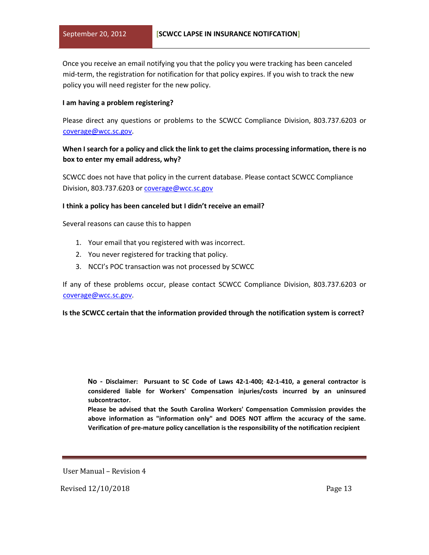Once you receive an email notifying you that the policy you were tracking has been canceled mid-term, the registration for notification for that policy expires. If you wish to track the new policy you will need register for the new policy.

#### **I am having a problem registering?**

Please direct any questions or problems to the SCWCC Compliance Division, 803.737.6203 or coverage@wcc.sc.gov.

#### **When I search for a policy and click the link to get the claims processing information, there is no box to enter my email address, why?**

SCWCC does not have that policy in the current database. Please contact SCWCC Compliance Division, 803.737.6203 or coverage@wcc.sc.gov

#### **I think a policy has been canceled but I didn't receive an email?**

Several reasons can cause this to happen

- 1. Your email that you registered with was incorrect.
- 2. You never registered for tracking that policy.
- 3. NCCI's POC transaction was not processed by SCWCC

If any of these problems occur, please contact SCWCC Compliance Division, 803.737.6203 or coverage@wcc.sc.gov.

#### **Is the SCWCC certain that the information provided through the notification system is correct?**

**No - Disclaimer: Pursuant to SC Code of Laws 42-1-400; 42-1-410, a general contractor is considered liable for Workers' Compensation injuries/costs incurred by an uninsured subcontractor.** 

**Please be advised that the South Carolina Workers' Compensation Commission provides the above information as "information only" and DOES NOT affirm the accuracy of the same. Verification of pre-mature policy cancellation is the responsibility of the notification recipient** 

User Manual – Revision 4